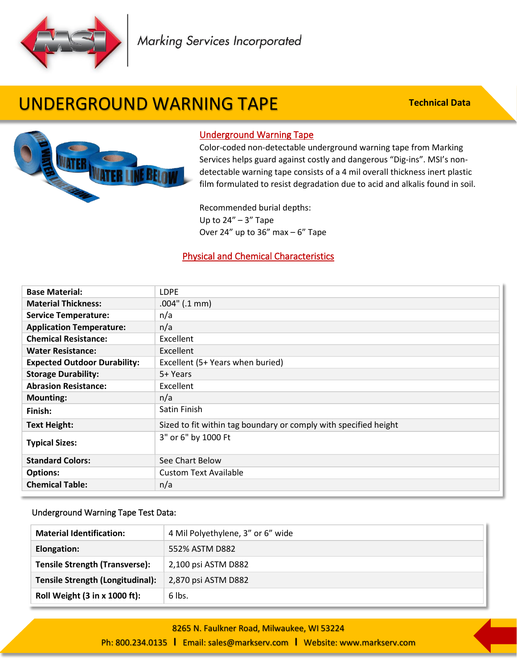

Marking Services Incorporated

# UNDERGROUND WARNING TAPE

**Technical Data**



### Underground Warning Tape

Color-coded non-detectable underground warning tape from Marking Services helps guard against costly and dangerous "Dig-ins". MSI's nondetectable warning tape consists of a 4 mil overall thickness inert plastic film formulated to resist degradation due to acid and alkalis found in soil.

Recommended burial depths: Up to  $24'' - 3''$  Tape Over 24" up to 36" max  $-6$ " Tape

### Physical and Chemical Characteristics

| <b>Base Material:</b>               | <b>LDPE</b>                                                      |
|-------------------------------------|------------------------------------------------------------------|
| <b>Material Thickness:</b>          | $.004$ " (.1 mm)                                                 |
| <b>Service Temperature:</b>         | n/a                                                              |
| <b>Application Temperature:</b>     | n/a                                                              |
| <b>Chemical Resistance:</b>         | Excellent                                                        |
| <b>Water Resistance:</b>            | Excellent                                                        |
| <b>Expected Outdoor Durability:</b> | Excellent (5+ Years when buried)                                 |
| <b>Storage Durability:</b>          | 5+ Years                                                         |
| <b>Abrasion Resistance:</b>         | Excellent                                                        |
| <b>Mounting:</b>                    | n/a                                                              |
| Finish:                             | Satin Finish                                                     |
| <b>Text Height:</b>                 | Sized to fit within tag boundary or comply with specified height |
| <b>Typical Sizes:</b>               | 3" or 6" by 1000 Ft                                              |
| <b>Standard Colors:</b>             | See Chart Below                                                  |
| <b>Options:</b>                     | <b>Custom Text Available</b>                                     |
| <b>Chemical Table:</b>              | n/a                                                              |

#### Underground Warning Tape Test Data:

í

| <b>Material Identification:</b>       | 4 Mil Polyethylene, 3" or 6" wide |
|---------------------------------------|-----------------------------------|
| Elongation:                           | 552% ASTM D882                    |
| <b>Tensile Strength (Transverse):</b> | 2,100 psi ASTM D882               |
| Tensile Strength (Longitudinal):      | 2,870 psi ASTM D882               |
| Roll Weight (3 in x 1000 ft):         | 6 lbs.                            |